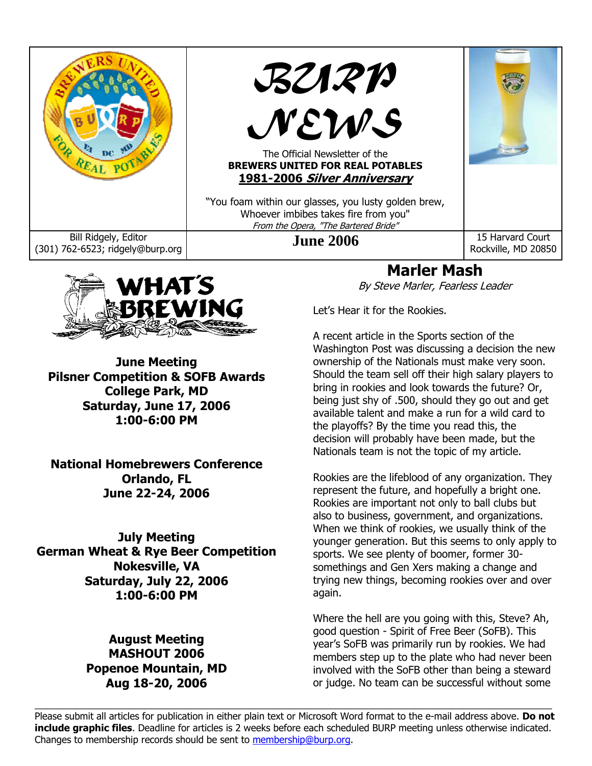



**June Meeting Pilsner Competition & SOFB Awards College Park, MD Saturday, June 17, 2006 1:00-6:00 PM** 

**National Homebrewers Conference Orlando, FL June 22-24, 2006** 

**July Meeting German Wheat & Rye Beer Competition Nokesville, VA Saturday, July 22, 2006 1:00-6:00 PM** 

## **August Meeting MASHOUT 2006 Popenoe Mountain, MD Aug 18-20, 2006**

# **Marler Mash**

By Steve Marler, Fearless Leader

Let's Hear it for the Rookies.

A recent article in the Sports section of the Washington Post was discussing a decision the new ownership of the Nationals must make very soon. Should the team sell off their high salary players to bring in rookies and look towards the future? Or, being just shy of .500, should they go out and get available talent and make a run for a wild card to the playoffs? By the time you read this, the decision will probably have been made, but the Nationals team is not the topic of my article.

Rookies are the lifeblood of any organization. They represent the future, and hopefully a bright one. Rookies are important not only to ball clubs but also to business, government, and organizations. When we think of rookies, we usually think of the younger generation. But this seems to only apply to sports. We see plenty of boomer, former 30 somethings and Gen Xers making a change and trying new things, becoming rookies over and over again.

Where the hell are you going with this, Steve? Ah, good question - Spirit of Free Beer (SoFB). This year's SoFB was primarily run by rookies. We had members step up to the plate who had never been involved with the SoFB other than being a steward or judge. No team can be successful without some

Please submit all articles for publication in either plain text or Microsoft Word format to the e-mail address above. **Do not include graphic files**. Deadline for articles is 2 weeks before each scheduled BURP meeting unless otherwise indicated. Changes to membership records should be sent to membership@burp.org.

 $\_$  , and the state of the state of the state of the state of the state of the state of the state of the state of the state of the state of the state of the state of the state of the state of the state of the state of the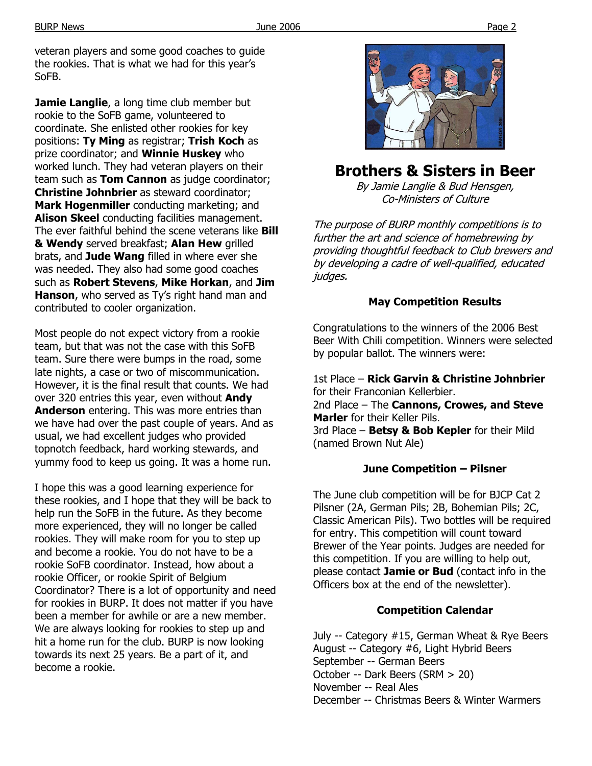veteran players and some good coaches to guide the rookies. That is what we had for this year's SoFB.

**Jamie Langlie**, a long time club member but rookie to the SoFB game, volunteered to coordinate. She enlisted other rookies for key positions: **Ty Ming** as registrar; **Trish Koch** as prize coordinator; and **Winnie Huskey** who worked lunch. They had veteran players on their team such as **Tom Cannon** as judge coordinator; **Christine Johnbrier** as steward coordinator; **Mark Hogenmiller** conducting marketing; and **Alison Skeel** conducting facilities management. The ever faithful behind the scene veterans like **Bill & Wendy** served breakfast; **Alan Hew** grilled brats, and **Jude Wang** filled in where ever she was needed. They also had some good coaches such as **Robert Stevens**, **Mike Horkan**, and **Jim Hanson**, who served as Ty's right hand man and contributed to cooler organization.

Most people do not expect victory from a rookie team, but that was not the case with this SoFB team. Sure there were bumps in the road, some late nights, a case or two of miscommunication. However, it is the final result that counts. We had over 320 entries this year, even without **Andy Anderson** entering. This was more entries than we have had over the past couple of years. And as usual, we had excellent judges who provided topnotch feedback, hard working stewards, and yummy food to keep us going. It was a home run.

I hope this was a good learning experience for these rookies, and I hope that they will be back to help run the SoFB in the future. As they become more experienced, they will no longer be called rookies. They will make room for you to step up and become a rookie. You do not have to be a rookie SoFB coordinator. Instead, how about a rookie Officer, or rookie Spirit of Belgium Coordinator? There is a lot of opportunity and need for rookies in BURP. It does not matter if you have been a member for awhile or are a new member. We are always looking for rookies to step up and hit a home run for the club. BURP is now looking towards its next 25 years. Be a part of it, and become a rookie.



## **Brothers & Sisters in Beer**

By Jamie Langlie & Bud Hensgen, Co-Ministers of Culture

The purpose of BURP monthly competitions is to further the art and science of homebrewing by providing thoughtful feedback to Club brewers and by developing a cadre of well-qualified, educated judges.

#### **May Competition Results**

Congratulations to the winners of the 2006 Best Beer With Chili competition. Winners were selected by popular ballot. The winners were:

1st Place – **Rick Garvin & Christine Johnbrier** for their Franconian Kellerbier. 2nd Place – The **Cannons, Crowes, and Steve Marler** for their Keller Pils. 3rd Place – **Betsy & Bob Kepler** for their Mild (named Brown Nut Ale)

#### **June Competition – Pilsner**

The June club competition will be for BJCP Cat 2 Pilsner (2A, German Pils; 2B, Bohemian Pils; 2C, Classic American Pils). Two bottles will be required for entry. This competition will count toward Brewer of the Year points. Judges are needed for this competition. If you are willing to help out, please contact **Jamie or Bud** (contact info in the Officers box at the end of the newsletter).

#### **Competition Calendar**

July -- Category #15, German Wheat & Rye Beers August -- Category #6, Light Hybrid Beers September -- German Beers October -- Dark Beers (SRM > 20) November -- Real Ales December -- Christmas Beers & Winter Warmers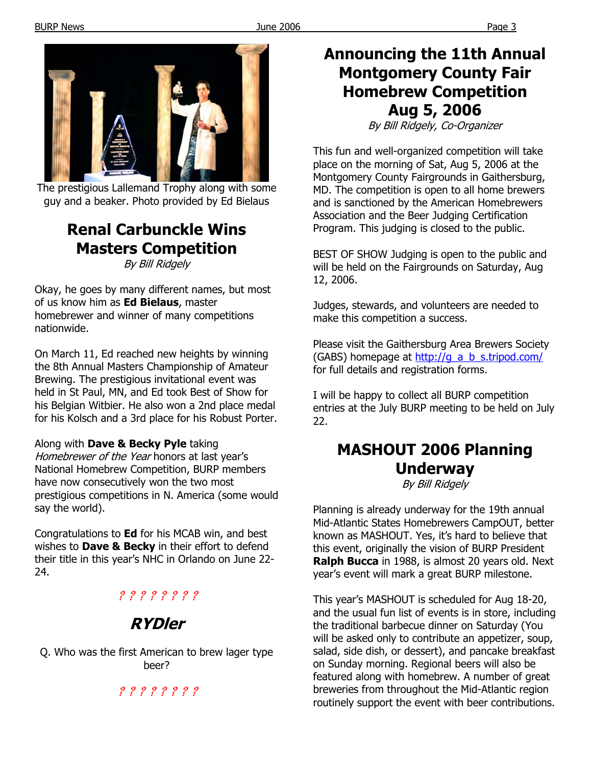

The prestigious Lallemand Trophy along with some guy and a beaker. Photo provided by Ed Bielaus

# **Renal Carbunckle Wins Masters Competition**

By Bill Ridgely

Okay, he goes by many different names, but most of us know him as **Ed Bielaus**, master homebrewer and winner of many competitions nationwide.

On March 11, Ed reached new heights by winning the 8th Annual Masters Championship of Amateur Brewing. The prestigious invitational event was held in St Paul, MN, and Ed took Best of Show for his Belgian Witbier. He also won a 2nd place medal for his Kolsch and a 3rd place for his Robust Porter.

## Along with **Dave & Becky Pyle** taking

Homebrewer of the Year honors at last year's National Homebrew Competition, BURP members have now consecutively won the two most prestigious competitions in N. America (some would say the world).

Congratulations to **Ed** for his MCAB win, and best wishes to **Dave & Becky** in their effort to defend their title in this year's NHC in Orlando on June 22- 24.

## ? ? ? ? ? ? ? ?

# **RYDler**

Q. Who was the first American to brew lager type beer?

## ? ? ? ? ? ? ? ?

## **Announcing the 11th Annual Montgomery County Fair Homebrew Competition Aug 5, 2006**

By Bill Ridgely, Co-Organizer

This fun and well-organized competition will take place on the morning of Sat, Aug 5, 2006 at the Montgomery County Fairgrounds in Gaithersburg, MD. The competition is open to all home brewers and is sanctioned by the American Homebrewers Association and the Beer Judging Certification Program. This judging is closed to the public.

BEST OF SHOW Judging is open to the public and will be held on the Fairgrounds on Saturday, Aug 12, 2006.

Judges, stewards, and volunteers are needed to make this competition a success.

Please visit the Gaithersburg Area Brewers Society (GABS) homepage at http://g\_a\_b\_s.tripod.com/ for full details and registration forms.

I will be happy to collect all BURP competition entries at the July BURP meeting to be held on July 22.

# **MASHOUT 2006 Planning Underway**

By Bill Ridgely

Planning is already underway for the 19th annual Mid-Atlantic States Homebrewers CampOUT, better known as MASHOUT. Yes, it's hard to believe that this event, originally the vision of BURP President **Ralph Bucca** in 1988, is almost 20 years old. Next year's event will mark a great BURP milestone.

This year's MASHOUT is scheduled for Aug 18-20, and the usual fun list of events is in store, including the traditional barbecue dinner on Saturday (You will be asked only to contribute an appetizer, soup, salad, side dish, or dessert), and pancake breakfast on Sunday morning. Regional beers will also be featured along with homebrew. A number of great breweries from throughout the Mid-Atlantic region routinely support the event with beer contributions.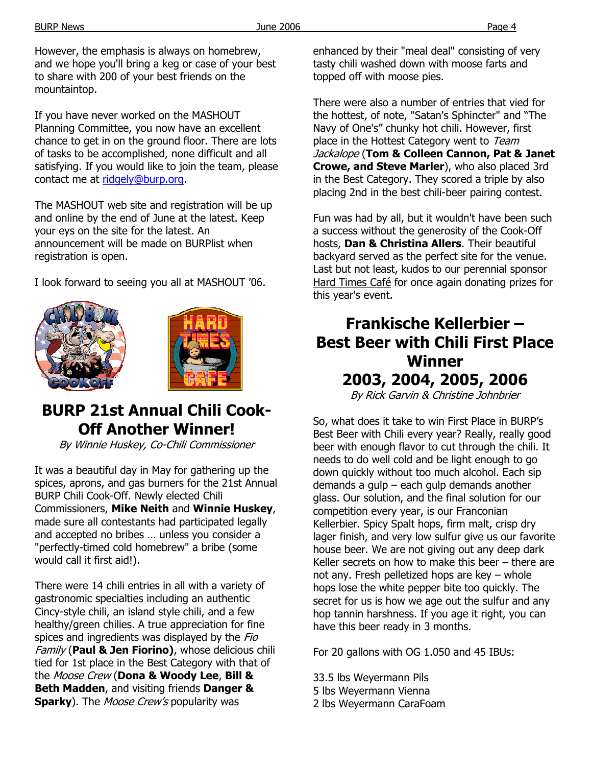However, the emphasis is always on homebrew, and we hope you'll bring a keg or case of your best to share with 200 of your best friends on the mountaintop.

If you have never worked on the MASHOUT Planning Committee, you now have an excellent chance to get in on the ground floor. There are lots of tasks to be accomplished, none difficult and all satisfying. If you would like to join the team, please contact me at ridgely@burp.org.

The MASHOUT web site and registration will be up and online by the end of June at the latest. Keep your eys on the site for the latest. An announcement will be made on BURPlist when registration is open.

I look forward to seeing you all at MASHOUT '06.





# **BURP 21st Annual Chili Cook-Off Another Winner!**

By Winnie Huskey, Co-Chili Commissioner

It was a beautiful day in May for gathering up the spices, aprons, and gas burners for the 21st Annual BURP Chili Cook-Off. Newly elected Chili Commissioners, **Mike Neith** and **Winnie Huskey**, made sure all contestants had participated legally and accepted no bribes … unless you consider a "perfectly-timed cold homebrew" a bribe (some would call it first aid!).

There were 14 chili entries in all with a variety of gastronomic specialties including an authentic Cincy-style chili, an island style chili, and a few healthy/green chilies. A true appreciation for fine spices and ingredients was displayed by the Fio Family (**Paul & Jen Fiorino)**, whose delicious chili tied for 1st place in the Best Category with that of the Moose Crew (**Dona & Woody Lee**, **Bill & Beth Madden**, and visiting friends **Danger & Sparky**). The Moose Crew's popularity was

enhanced by their "meal deal" consisting of very tasty chili washed down with moose farts and topped off with moose pies.

There were also a number of entries that vied for the hottest, of note, "Satan's Sphincter" and "The Navy of One's" chunky hot chili. However, first place in the Hottest Category went to Team Jackalope (**Tom & Colleen Cannon, Pat & Janet Crowe, and Steve Marler**), who also placed 3rd in the Best Category. They scored a triple by also placing 2nd in the best chili-beer pairing contest.

Fun was had by all, but it wouldn't have been such a success without the generosity of the Cook-Off hosts, **Dan & Christina Allers**. Their beautiful backyard served as the perfect site for the venue. Last but not least, kudos to our perennial sponsor Hard Times Café for once again donating prizes for this year's event.

# **Frankische Kellerbier – Best Beer with Chili First Place Winner 2003, 2004, 2005, 2006**

By Rick Garvin & Christine Johnbrier

So, what does it take to win First Place in BURP's Best Beer with Chili every year? Really, really good beer with enough flavor to cut through the chili. It needs to do well cold and be light enough to go down quickly without too much alcohol. Each sip demands a gulp – each gulp demands another glass. Our solution, and the final solution for our competition every year, is our Franconian Kellerbier. Spicy Spalt hops, firm malt, crisp dry lager finish, and very low sulfur give us our favorite house beer. We are not giving out any deep dark Keller secrets on how to make this beer – there are not any. Fresh pelletized hops are key – whole hops lose the white pepper bite too quickly. The secret for us is how we age out the sulfur and any hop tannin harshness. If you age it right, you can have this beer ready in 3 months.

For 20 gallons with OG 1.050 and 45 IBUs:

33.5 lbs Weyermann Pils 5 lbs Weyermann Vienna 2 lbs Weyermann CaraFoam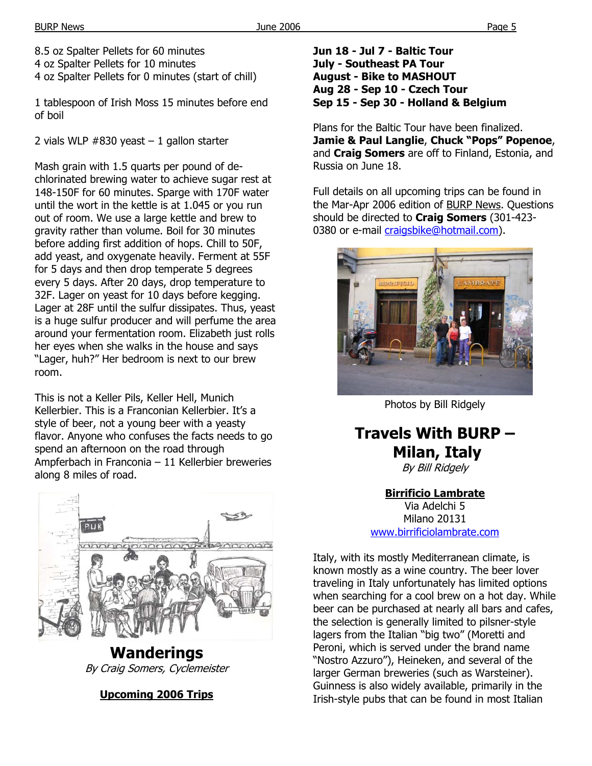8.5 oz Spalter Pellets for 60 minutes 4 oz Spalter Pellets for 10 minutes 4 oz Spalter Pellets for 0 minutes (start of chill)

1 tablespoon of Irish Moss 15 minutes before end of boil

2 vials WLP  $#830$  yeast  $-1$  gallon starter

Mash grain with 1.5 quarts per pound of dechlorinated brewing water to achieve sugar rest at 148-150F for 60 minutes. Sparge with 170F water until the wort in the kettle is at 1.045 or you run out of room. We use a large kettle and brew to gravity rather than volume. Boil for 30 minutes before adding first addition of hops. Chill to 50F, add yeast, and oxygenate heavily. Ferment at 55F for 5 days and then drop temperate 5 degrees every 5 days. After 20 days, drop temperature to 32F. Lager on yeast for 10 days before kegging. Lager at 28F until the sulfur dissipates. Thus, yeast is a huge sulfur producer and will perfume the area around your fermentation room. Elizabeth just rolls her eyes when she walks in the house and says "Lager, huh?" Her bedroom is next to our brew room.

This is not a Keller Pils, Keller Hell, Munich Kellerbier. This is a Franconian Kellerbier. It's a style of beer, not a young beer with a yeasty flavor. Anyone who confuses the facts needs to go spend an afternoon on the road through Ampferbach in Franconia – 11 Kellerbier breweries along 8 miles of road.



**Wanderings**  By Craig Somers, Cyclemeister

## **Upcoming 2006 Trips**

**Jun 18 - Jul 7 - Baltic Tour July - Southeast PA Tour August - Bike to MASHOUT Aug 28 - Sep 10 - Czech Tour Sep 15 - Sep 30 - Holland & Belgium** 

Plans for the Baltic Tour have been finalized. **Jamie & Paul Langlie**, **Chuck "Pops" Popenoe**, and **Craig Somers** are off to Finland, Estonia, and Russia on June 18.

Full details on all upcoming trips can be found in the Mar-Apr 2006 edition of BURP News. Questions should be directed to **Craig Somers** (301-423- 0380 or e-mail craigsbike@hotmail.com).



Photos by Bill Ridgely

**Travels With BURP – Milan, Italy** 

By Bill Ridgely

**Birrificio Lambrate** Via Adelchi 5 Milano 20131

www.birrificiolambrate.com

Italy, with its mostly Mediterranean climate, is known mostly as a wine country. The beer lover traveling in Italy unfortunately has limited options when searching for a cool brew on a hot day. While beer can be purchased at nearly all bars and cafes, the selection is generally limited to pilsner-style lagers from the Italian "big two" (Moretti and Peroni, which is served under the brand name "Nostro Azzuro"), Heineken, and several of the larger German breweries (such as Warsteiner). Guinness is also widely available, primarily in the Irish-style pubs that can be found in most Italian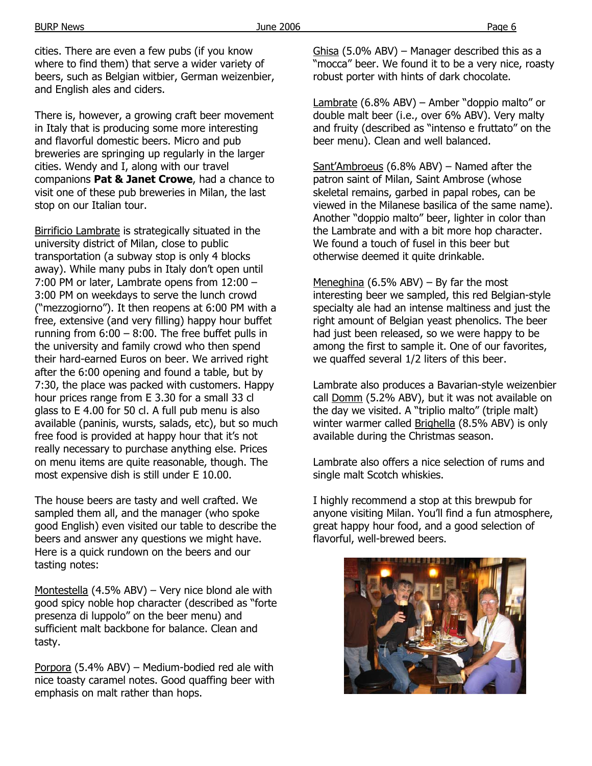BURP News Page 6

cities. There are even a few pubs (if you know where to find them) that serve a wider variety of beers, such as Belgian witbier, German weizenbier, and English ales and ciders.

There is, however, a growing craft beer movement in Italy that is producing some more interesting and flavorful domestic beers. Micro and pub breweries are springing up regularly in the larger cities. Wendy and I, along with our travel companions **Pat & Janet Crowe**, had a chance to visit one of these pub breweries in Milan, the last stop on our Italian tour.

Birrificio Lambrate is strategically situated in the university district of Milan, close to public transportation (a subway stop is only 4 blocks away). While many pubs in Italy don't open until 7:00 PM or later, Lambrate opens from 12:00 – 3:00 PM on weekdays to serve the lunch crowd ("mezzogiorno"). It then reopens at 6:00 PM with a free, extensive (and very filling) happy hour buffet running from  $6:00 - 8:00$ . The free buffet pulls in the university and family crowd who then spend their hard-earned Euros on beer. We arrived right after the 6:00 opening and found a table, but by 7:30, the place was packed with customers. Happy hour prices range from E 3.30 for a small 33 cl glass to E 4.00 for 50 cl. A full pub menu is also available (paninis, wursts, salads, etc), but so much free food is provided at happy hour that it's not really necessary to purchase anything else. Prices on menu items are quite reasonable, though. The most expensive dish is still under E 10.00.

The house beers are tasty and well crafted. We sampled them all, and the manager (who spoke good English) even visited our table to describe the beers and answer any questions we might have. Here is a quick rundown on the beers and our tasting notes:

Montestella (4.5% ABV) – Very nice blond ale with good spicy noble hop character (described as "forte presenza di luppolo" on the beer menu) and sufficient malt backbone for balance. Clean and tasty.

Porpora (5.4% ABV) – Medium-bodied red ale with nice toasty caramel notes. Good quaffing beer with emphasis on malt rather than hops.

Ghisa (5.0% ABV) – Manager described this as a "mocca" beer. We found it to be a very nice, roasty robust porter with hints of dark chocolate.

Lambrate (6.8% ABV) – Amber "doppio malto" or double malt beer (i.e., over 6% ABV). Very malty and fruity (described as "intenso e fruttato" on the beer menu). Clean and well balanced.

Sant'Ambroeus (6.8% ABV) – Named after the patron saint of Milan, Saint Ambrose (whose skeletal remains, garbed in papal robes, can be viewed in the Milanese basilica of the same name). Another "doppio malto" beer, lighter in color than the Lambrate and with a bit more hop character. We found a touch of fusel in this beer but otherwise deemed it quite drinkable.

Meneghina (6.5% ABV) – By far the most interesting beer we sampled, this red Belgian-style specialty ale had an intense maltiness and just the right amount of Belgian yeast phenolics. The beer had just been released, so we were happy to be among the first to sample it. One of our favorites, we quaffed several 1/2 liters of this beer.

Lambrate also produces a Bavarian-style weizenbier call Domm (5.2% ABV), but it was not available on the day we visited. A "triplio malto" (triple malt) winter warmer called Brighella (8.5% ABV) is only available during the Christmas season.

Lambrate also offers a nice selection of rums and single malt Scotch whiskies.

I highly recommend a stop at this brewpub for anyone visiting Milan. You'll find a fun atmosphere, great happy hour food, and a good selection of flavorful, well-brewed beers.

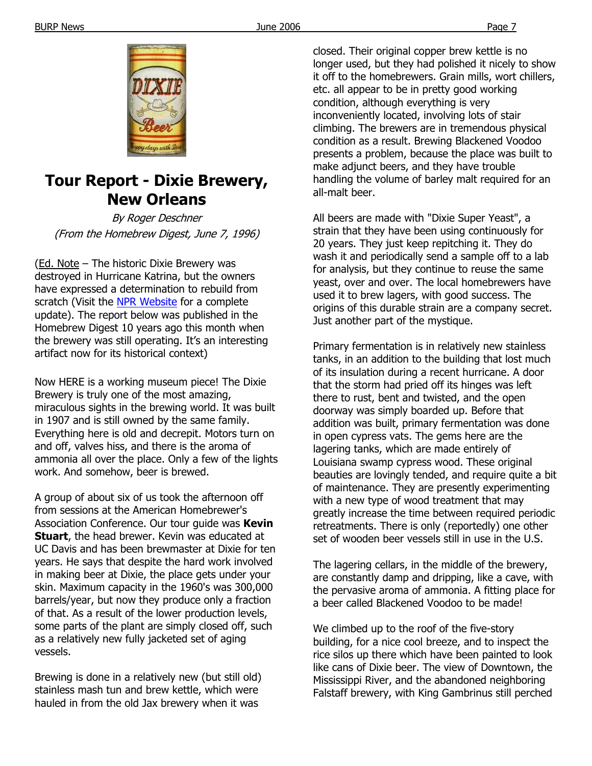

## **Tour Report - Dixie Brewery, New Orleans**

By Roger Deschner (From the Homebrew Digest, June 7, 1996)

(Ed. Note – The historic Dixie Brewery was destroyed in Hurricane Katrina, but the owners have expressed a determination to rebuild from scratch (Visit the NPR Website for a complete update). The report below was published in the Homebrew Digest 10 years ago this month when the brewery was still operating. It's an interesting artifact now for its historical context)

Now HERE is a working museum piece! The Dixie Brewery is truly one of the most amazing, miraculous sights in the brewing world. It was built in 1907 and is still owned by the same family. Everything here is old and decrepit. Motors turn on and off, valves hiss, and there is the aroma of ammonia all over the place. Only a few of the lights work. And somehow, beer is brewed.

A group of about six of us took the afternoon off from sessions at the American Homebrewer's Association Conference. Our tour guide was **Kevin Stuart**, the head brewer. Kevin was educated at UC Davis and has been brewmaster at Dixie for ten years. He says that despite the hard work involved in making beer at Dixie, the place gets under your skin. Maximum capacity in the 1960's was 300,000 barrels/year, but now they produce only a fraction of that. As a result of the lower production levels, some parts of the plant are simply closed off, such as a relatively new fully jacketed set of aging vessels.

Brewing is done in a relatively new (but still old) stainless mash tun and brew kettle, which were hauled in from the old Jax brewery when it was

closed. Their original copper brew kettle is no longer used, but they had polished it nicely to show it off to the homebrewers. Grain mills, wort chillers, etc. all appear to be in pretty good working condition, although everything is very inconveniently located, involving lots of stair climbing. The brewers are in tremendous physical condition as a result. Brewing Blackened Voodoo presents a problem, because the place was built to make adjunct beers, and they have trouble handling the volume of barley malt required for an all-malt beer.

All beers are made with "Dixie Super Yeast", a strain that they have been using continuously for 20 years. They just keep repitching it. They do wash it and periodically send a sample off to a lab for analysis, but they continue to reuse the same yeast, over and over. The local homebrewers have used it to brew lagers, with good success. The origins of this durable strain are a company secret. Just another part of the mystique.

Primary fermentation is in relatively new stainless tanks, in an addition to the building that lost much of its insulation during a recent hurricane. A door that the storm had pried off its hinges was left there to rust, bent and twisted, and the open doorway was simply boarded up. Before that addition was built, primary fermentation was done in open cypress vats. The gems here are the lagering tanks, which are made entirely of Louisiana swamp cypress wood. These original beauties are lovingly tended, and require quite a bit of maintenance. They are presently experimenting with a new type of wood treatment that may greatly increase the time between required periodic retreatments. There is only (reportedly) one other set of wooden beer vessels still in use in the U.S.

The lagering cellars, in the middle of the brewery, are constantly damp and dripping, like a cave, with the pervasive aroma of ammonia. A fitting place for a beer called Blackened Voodoo to be made!

We climbed up to the roof of the five-story building, for a nice cool breeze, and to inspect the rice silos up there which have been painted to look like cans of Dixie beer. The view of Downtown, the Mississippi River, and the abandoned neighboring Falstaff brewery, with King Gambrinus still perched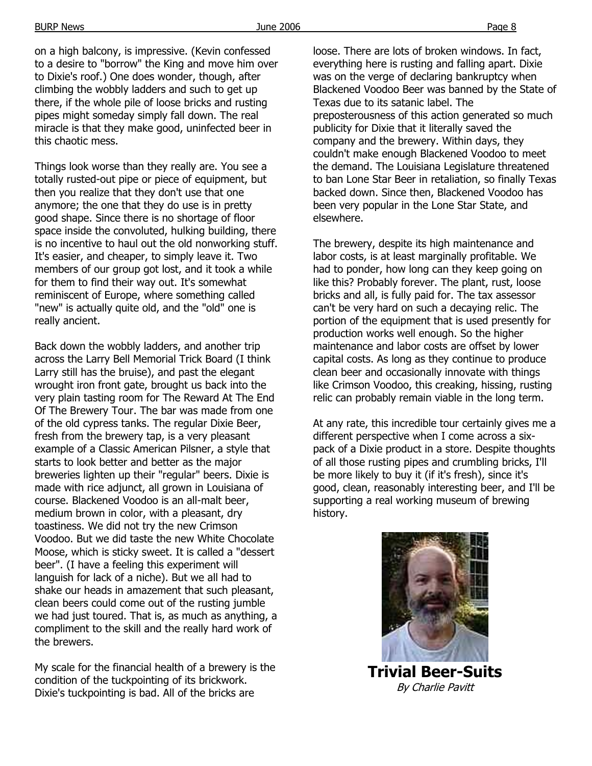on a high balcony, is impressive. (Kevin confessed to a desire to "borrow" the King and move him over to Dixie's roof.) One does wonder, though, after climbing the wobbly ladders and such to get up there, if the whole pile of loose bricks and rusting pipes might someday simply fall down. The real miracle is that they make good, uninfected beer in this chaotic mess.

Things look worse than they really are. You see a totally rusted-out pipe or piece of equipment, but then you realize that they don't use that one anymore; the one that they do use is in pretty good shape. Since there is no shortage of floor space inside the convoluted, hulking building, there is no incentive to haul out the old nonworking stuff. It's easier, and cheaper, to simply leave it. Two members of our group got lost, and it took a while for them to find their way out. It's somewhat reminiscent of Europe, where something called "new" is actually quite old, and the "old" one is really ancient.

Back down the wobbly ladders, and another trip across the Larry Bell Memorial Trick Board (I think Larry still has the bruise), and past the elegant wrought iron front gate, brought us back into the very plain tasting room for The Reward At The End Of The Brewery Tour. The bar was made from one of the old cypress tanks. The regular Dixie Beer, fresh from the brewery tap, is a very pleasant example of a Classic American Pilsner, a style that starts to look better and better as the major breweries lighten up their "regular" beers. Dixie is made with rice adjunct, all grown in Louisiana of course. Blackened Voodoo is an all-malt beer, medium brown in color, with a pleasant, dry toastiness. We did not try the new Crimson Voodoo. But we did taste the new White Chocolate Moose, which is sticky sweet. It is called a "dessert beer". (I have a feeling this experiment will languish for lack of a niche). But we all had to shake our heads in amazement that such pleasant, clean beers could come out of the rusting jumble we had just toured. That is, as much as anything, a compliment to the skill and the really hard work of the brewers.

My scale for the financial health of a brewery is the condition of the tuckpointing of its brickwork. Dixie's tuckpointing is bad. All of the bricks are

loose. There are lots of broken windows. In fact, everything here is rusting and falling apart. Dixie was on the verge of declaring bankruptcy when Blackened Voodoo Beer was banned by the State of Texas due to its satanic label. The preposterousness of this action generated so much publicity for Dixie that it literally saved the company and the brewery. Within days, they couldn't make enough Blackened Voodoo to meet the demand. The Louisiana Legislature threatened to ban Lone Star Beer in retaliation, so finally Texas backed down. Since then, Blackened Voodoo has been very popular in the Lone Star State, and elsewhere.

The brewery, despite its high maintenance and labor costs, is at least marginally profitable. We had to ponder, how long can they keep going on like this? Probably forever. The plant, rust, loose bricks and all, is fully paid for. The tax assessor can't be very hard on such a decaying relic. The portion of the equipment that is used presently for production works well enough. So the higher maintenance and labor costs are offset by lower capital costs. As long as they continue to produce clean beer and occasionally innovate with things like Crimson Voodoo, this creaking, hissing, rusting relic can probably remain viable in the long term.

At any rate, this incredible tour certainly gives me a different perspective when I come across a sixpack of a Dixie product in a store. Despite thoughts of all those rusting pipes and crumbling bricks, I'll be more likely to buy it (if it's fresh), since it's good, clean, reasonably interesting beer, and I'll be supporting a real working museum of brewing history.



**Trivial Beer-Suits**  By Charlie Pavitt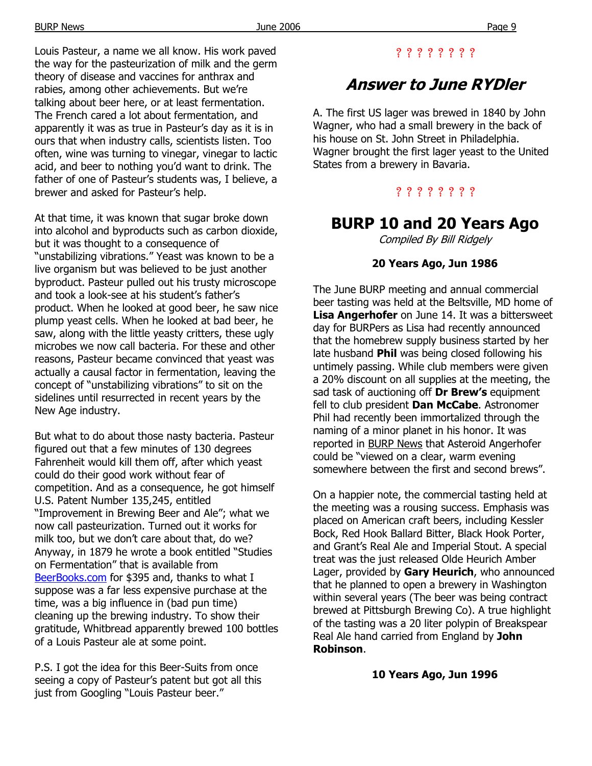Louis Pasteur, a name we all know. His work paved the way for the pasteurization of milk and the germ theory of disease and vaccines for anthrax and rabies, among other achievements. But we're talking about beer here, or at least fermentation. The French cared a lot about fermentation, and apparently it was as true in Pasteur's day as it is in ours that when industry calls, scientists listen. Too often, wine was turning to vinegar, vinegar to lactic acid, and beer to nothing you'd want to drink. The father of one of Pasteur's students was, I believe, a brewer and asked for Pasteur's help.

At that time, it was known that sugar broke down into alcohol and byproducts such as carbon dioxide, but it was thought to a consequence of "unstabilizing vibrations." Yeast was known to be a live organism but was believed to be just another byproduct. Pasteur pulled out his trusty microscope and took a look-see at his student's father's product. When he looked at good beer, he saw nice plump yeast cells. When he looked at bad beer, he saw, along with the little yeasty critters, these ugly microbes we now call bacteria. For these and other reasons, Pasteur became convinced that yeast was actually a causal factor in fermentation, leaving the concept of "unstabilizing vibrations" to sit on the sidelines until resurrected in recent years by the New Age industry.

But what to do about those nasty bacteria. Pasteur figured out that a few minutes of 130 degrees Fahrenheit would kill them off, after which yeast could do their good work without fear of competition. And as a consequence, he got himself U.S. Patent Number 135,245, entitled "Improvement in Brewing Beer and Ale"; what we now call pasteurization. Turned out it works for milk too, but we don't care about that, do we? Anyway, in 1879 he wrote a book entitled "Studies on Fermentation" that is available from BeerBooks.com for \$395 and, thanks to what I suppose was a far less expensive purchase at the time, was a big influence in (bad pun time) cleaning up the brewing industry. To show their gratitude, Whitbread apparently brewed 100 bottles of a Louis Pasteur ale at some point.

P.S. I got the idea for this Beer-Suits from once seeing a copy of Pasteur's patent but got all this just from Googling "Louis Pasteur beer."

## ? ? ? ? ? ? ? ?

# **Answer to June RYDler**

A. The first US lager was brewed in 1840 by John Wagner, who had a small brewery in the back of his house on St. John Street in Philadelphia. Wagner brought the first lager yeast to the United States from a brewery in Bavaria.

## ? ? ? ? ? ? ? ?

## **BURP 10 and 20 Years Ago**

Compiled By Bill Ridgely

### **20 Years Ago, Jun 1986**

The June BURP meeting and annual commercial beer tasting was held at the Beltsville, MD home of **Lisa Angerhofer** on June 14. It was a bittersweet day for BURPers as Lisa had recently announced that the homebrew supply business started by her late husband **Phil** was being closed following his untimely passing. While club members were given a 20% discount on all supplies at the meeting, the sad task of auctioning off **Dr Brew's** equipment fell to club president **Dan McCabe**. Astronomer Phil had recently been immortalized through the naming of a minor planet in his honor. It was reported in BURP News that Asteroid Angerhofer could be "viewed on a clear, warm evening somewhere between the first and second brews".

On a happier note, the commercial tasting held at the meeting was a rousing success. Emphasis was placed on American craft beers, including Kessler Bock, Red Hook Ballard Bitter, Black Hook Porter, and Grant's Real Ale and Imperial Stout. A special treat was the just released Olde Heurich Amber Lager, provided by **Gary Heurich**, who announced that he planned to open a brewery in Washington within several years (The beer was being contract brewed at Pittsburgh Brewing Co). A true highlight of the tasting was a 20 liter polypin of Breakspear Real Ale hand carried from England by **John Robinson**.

#### **10 Years Ago, Jun 1996**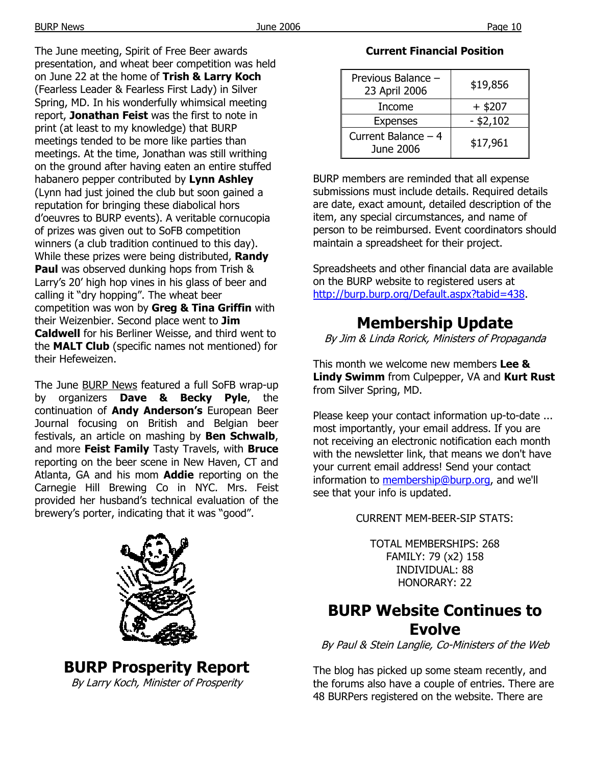The June meeting, Spirit of Free Beer awards presentation, and wheat beer competition was held on June 22 at the home of **Trish & Larry Koch** (Fearless Leader & Fearless First Lady) in Silver Spring, MD. In his wonderfully whimsical meeting report, **Jonathan Feist** was the first to note in print (at least to my knowledge) that BURP meetings tended to be more like parties than meetings. At the time, Jonathan was still writhing on the ground after having eaten an entire stuffed habanero pepper contributed by **Lynn Ashley** (Lynn had just joined the club but soon gained a reputation for bringing these diabolical hors d'oeuvres to BURP events). A veritable cornucopia of prizes was given out to SoFB competition winners (a club tradition continued to this day). While these prizes were being distributed, **Randy Paul** was observed dunking hops from Trish & Larry's 20' high hop vines in his glass of beer and calling it "dry hopping". The wheat beer competition was won by **Greg & Tina Griffin** with their Weizenbier. Second place went to **Jim Caldwell** for his Berliner Weisse, and third went to the **MALT Club** (specific names not mentioned) for their Hefeweizen.

The June BURP News featured a full SoFB wrap-up by organizers **Dave & Becky Pyle**, the continuation of **Andy Anderson's** European Beer Journal focusing on British and Belgian beer festivals, an article on mashing by **Ben Schwalb**, and more **Feist Family** Tasty Travels, with **Bruce** reporting on the beer scene in New Haven, CT and Atlanta, GA and his mom **Addie** reporting on the Carnegie Hill Brewing Co in NYC. Mrs. Feist provided her husband's technical evaluation of the brewery's porter, indicating that it was "good".

**BURP Prosperity Report**  By Larry Koch, Minister of Prosperity

#### **Current Financial Position**

| Previous Balance -<br>23 April 2006 | \$19,856    |
|-------------------------------------|-------------|
| Income                              | $+$ \$207   |
| <b>Expenses</b>                     | $-$ \$2,102 |
| Current Balance - 4<br>June 2006    | \$17,961    |

BURP members are reminded that all expense submissions must include details. Required details are date, exact amount, detailed description of the item, any special circumstances, and name of person to be reimbursed. Event coordinators should maintain a spreadsheet for their project.

Spreadsheets and other financial data are available on the BURP website to registered users at http://burp.burp.org/Default.aspx?tabid=438.

## **Membership Update**

By Jim & Linda Rorick, Ministers of Propaganda

This month we welcome new members **Lee & Lindy Swimm** from Culpepper, VA and **Kurt Rust** from Silver Spring, MD.

Please keep your contact information up-to-date ... most importantly, your email address. If you are not receiving an electronic notification each month with the newsletter link, that means we don't have your current email address! Send your contact information to membership@burp.org, and we'll see that your info is updated.

CURRENT MEM-BEER-SIP STATS:

TOTAL MEMBERSHIPS: 268 FAMILY: 79 (x2) 158 INDIVIDUAL: 88 HONORARY: 22

## **BURP Website Continues to Evolve**

By Paul & Stein Langlie, Co-Ministers of the Web

The blog has picked up some steam recently, and the forums also have a couple of entries. There are 48 BURPers registered on the website. There are